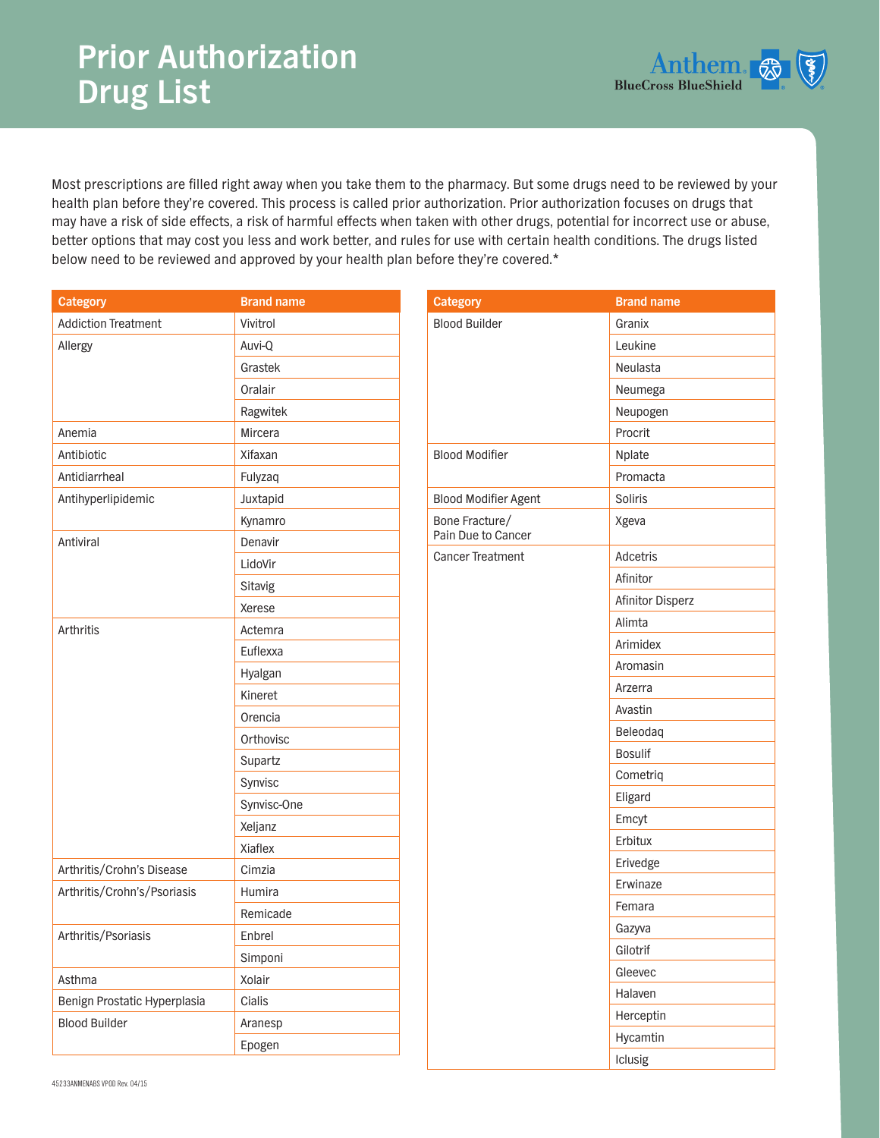## **Prior Authorization Drug List**



Most prescriptions are filled right away when you take them to the pharmacy. But some drugs need to be reviewed by your health plan before they're covered. This process is called prior authorization. Prior authorization focuses on drugs that may have a risk of side effects, a risk of harmful effects when taken with other drugs, potential for incorrect use or abuse, better options that may cost you less and work better, and rules for use with certain health conditions. The drugs listed below need to be reviewed and approved by your health plan before they're covered.\*

| <b>Category</b>              | <b>Brand name</b> |
|------------------------------|-------------------|
| <b>Addiction Treatment</b>   | Vivitrol          |
| Allergy                      | Auvi-Q            |
|                              | Grastek           |
|                              | Oralair           |
|                              | Ragwitek          |
| Anemia                       | Mircera           |
| Antibiotic                   | Xifaxan           |
| Antidiarrheal                | Fulyzaq           |
| Antihyperlipidemic           | Juxtapid          |
|                              | Kynamro           |
| Antiviral                    | Denavir           |
|                              | LidoVir           |
|                              | Sitavig           |
|                              | Xerese            |
| Arthritis                    | Actemra           |
|                              | Euflexxa          |
|                              | Hyalgan           |
|                              | Kineret           |
|                              | Orencia           |
|                              | Orthovisc         |
|                              | Supartz           |
|                              | Synvisc           |
|                              | Synvisc-One       |
|                              | Xeljanz           |
|                              | Xiaflex           |
| Arthritis/Crohn's Disease    | Cimzia            |
| Arthritis/Crohn's/Psoriasis  | Humira            |
|                              | Remicade          |
| Arthritis/Psoriasis          | Enbrel            |
|                              | Simponi           |
| Asthma                       | Xolair            |
| Benign Prostatic Hyperplasia | Cialis            |
| <b>Blood Builder</b>         | Aranesp           |
|                              | Epogen            |

| <b>Category</b>                      | <b>Brand name</b> |
|--------------------------------------|-------------------|
| <b>Blood Builder</b>                 | Granix            |
|                                      | Leukine           |
|                                      | Neulasta          |
|                                      | Neumega           |
|                                      | Neupogen          |
|                                      | Procrit           |
| <b>Blood Modifier</b>                | Nplate            |
|                                      | Promacta          |
| <b>Blood Modifier Agent</b>          | Soliris           |
| Bone Fracture/<br>Pain Due to Cancer | Xgeva             |
| Cancer Treatment                     | Adcetris          |
|                                      | Afinitor          |
|                                      | Afinitor Disperz  |
|                                      | Alimta            |
|                                      | Arimidex          |
|                                      | Aromasin          |
|                                      | Arzerra           |
|                                      | Avastin           |
|                                      | Beleodaq          |
|                                      | <b>Bosulif</b>    |
|                                      | Cometriq          |
|                                      | Eligard           |
|                                      | Emcyt             |
|                                      | Erbitux           |
|                                      | Erivedge          |
|                                      | Erwinaze          |
|                                      | Femara            |
|                                      | Gazyva            |
|                                      | Gilotrif          |
|                                      | Gleevec           |
|                                      | Halaven           |
|                                      | Herceptin         |
|                                      | Hycamtin          |

Iclusig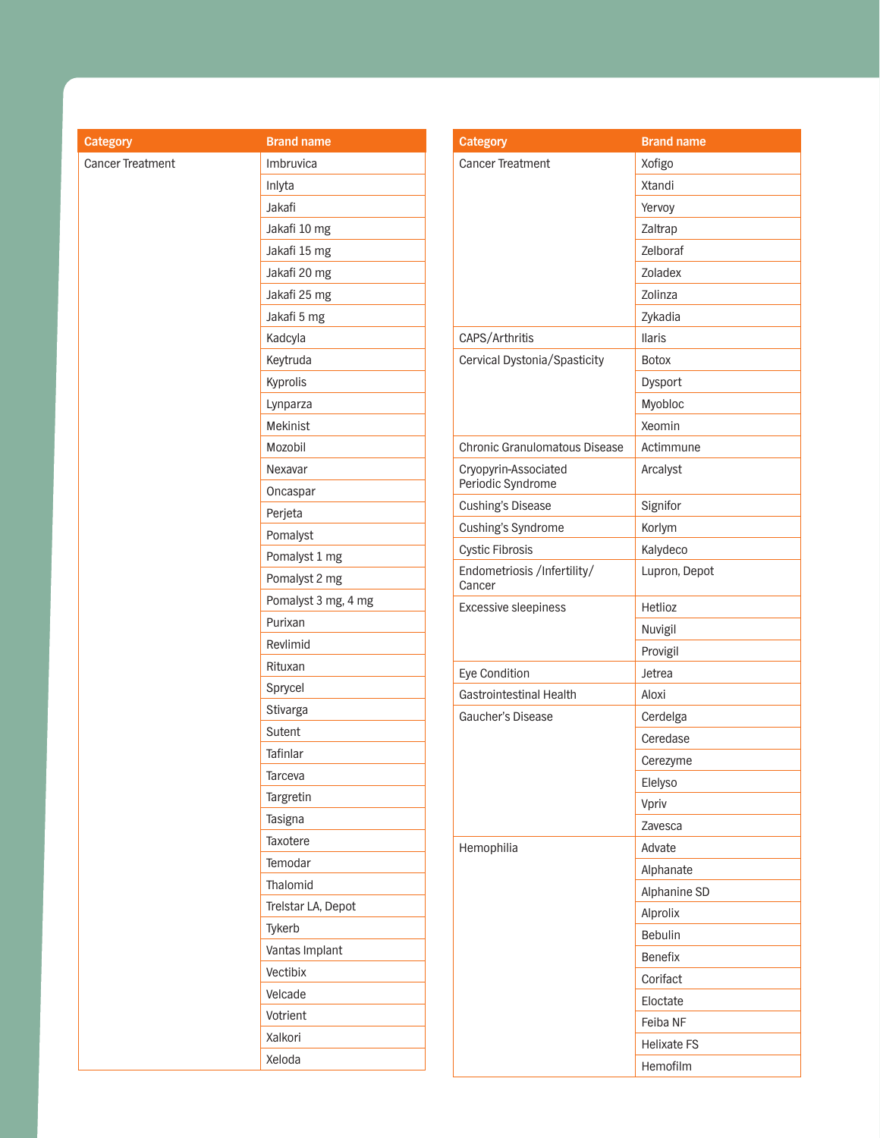| <b>Category</b>  | <b>Brand name</b>   | Categor          |
|------------------|---------------------|------------------|
| Cancer Treatment | Imbruvica           | Cancer T         |
|                  | Inlyta              |                  |
|                  | Jakafi              |                  |
|                  | Jakafi 10 mg        |                  |
|                  | Jakafi 15 mg        |                  |
|                  | Jakafi 20 mg        |                  |
|                  | Jakafi 25 mg        |                  |
|                  | Jakafi 5 mg         |                  |
|                  | Kadcyla             | CAPS/Ar          |
|                  | Keytruda            | Cervical         |
|                  | Kyprolis            |                  |
|                  | Lynparza            |                  |
|                  | Mekinist            |                  |
|                  | Mozobil             | Chronic          |
|                  | Nexavar             | Cryopyri         |
|                  | Oncaspar            | Periodic         |
|                  | Perjeta             | Cushing'         |
|                  | Pomalyst            | Cushing'         |
|                  | Pomalyst 1 mg       | Cystic Fi        |
|                  | Pomalyst 2 mg       | Endome<br>Cancer |
|                  | Pomalyst 3 mg, 4 mg | Excessiv         |
|                  | Purixan             |                  |
|                  | Revlimid            |                  |
|                  | Rituxan             | Eye Con          |
|                  | Sprycel             | Gastroin         |
|                  | Stivarga            | Gaucher          |
|                  | Sutent              |                  |
|                  | Tafinlar            |                  |
|                  | Tarceva             |                  |
|                  | Targretin           |                  |
|                  | Tasigna             |                  |
|                  | Taxotere            | Hemoph           |
|                  | Temodar             |                  |
|                  | Thalomid            |                  |
|                  | Trelstar LA, Depot  |                  |
|                  | Tykerb              |                  |
|                  | Vantas Implant      |                  |
|                  | Vectibix            |                  |
|                  | Velcade             |                  |
|                  | Votrient            |                  |
|                  | Xalkori             |                  |
|                  | Xeloda              |                  |
|                  |                     |                  |

| <b>Category</b>                           | <b>Brand name</b>  |
|-------------------------------------------|--------------------|
| <b>Cancer Treatment</b>                   | Xofigo             |
|                                           | Xtandi             |
|                                           | Yervoy             |
|                                           | Zaltrap            |
|                                           | Zelboraf           |
|                                           | Zoladex            |
|                                           | Zolinza            |
|                                           | Zykadia            |
| CAPS/Arthritis                            | <b>Ilaris</b>      |
| Cervical Dystonia/Spasticity              | <b>Botox</b>       |
|                                           | Dysport            |
|                                           | Myobloc            |
|                                           | Xeomin             |
| <b>Chronic Granulomatous Disease</b>      | Actimmune          |
| Cryopyrin-Associated<br>Periodic Syndrome | Arcalyst           |
| <b>Cushing's Disease</b>                  | Signifor           |
| Cushing's Syndrome                        | Korlym             |
| <b>Cystic Fibrosis</b>                    | Kalydeco           |
| Endometriosis /Infertility/<br>Cancer     | Lupron, Depot      |
| <b>Excessive sleepiness</b>               | Hetlioz            |
|                                           | Nuvigil            |
|                                           | Provigil           |
| Eye Condition                             | Jetrea             |
| Gastrointestinal Health                   | Aloxi              |
| Gaucher's Disease                         | Cerdelga           |
|                                           | Ceredase           |
|                                           | Cerezyme           |
|                                           | Elelyso            |
|                                           | Vpriv              |
|                                           | Zavesca            |
| Hemophilia                                | Advate             |
|                                           | Alphanate          |
|                                           | Alphanine SD       |
|                                           | Alprolix           |
|                                           | Bebulin            |
|                                           | <b>Benefix</b>     |
|                                           | Corifact           |
|                                           | Eloctate           |
|                                           | Feiba NF           |
|                                           | <b>Helixate FS</b> |
|                                           | Hemofilm           |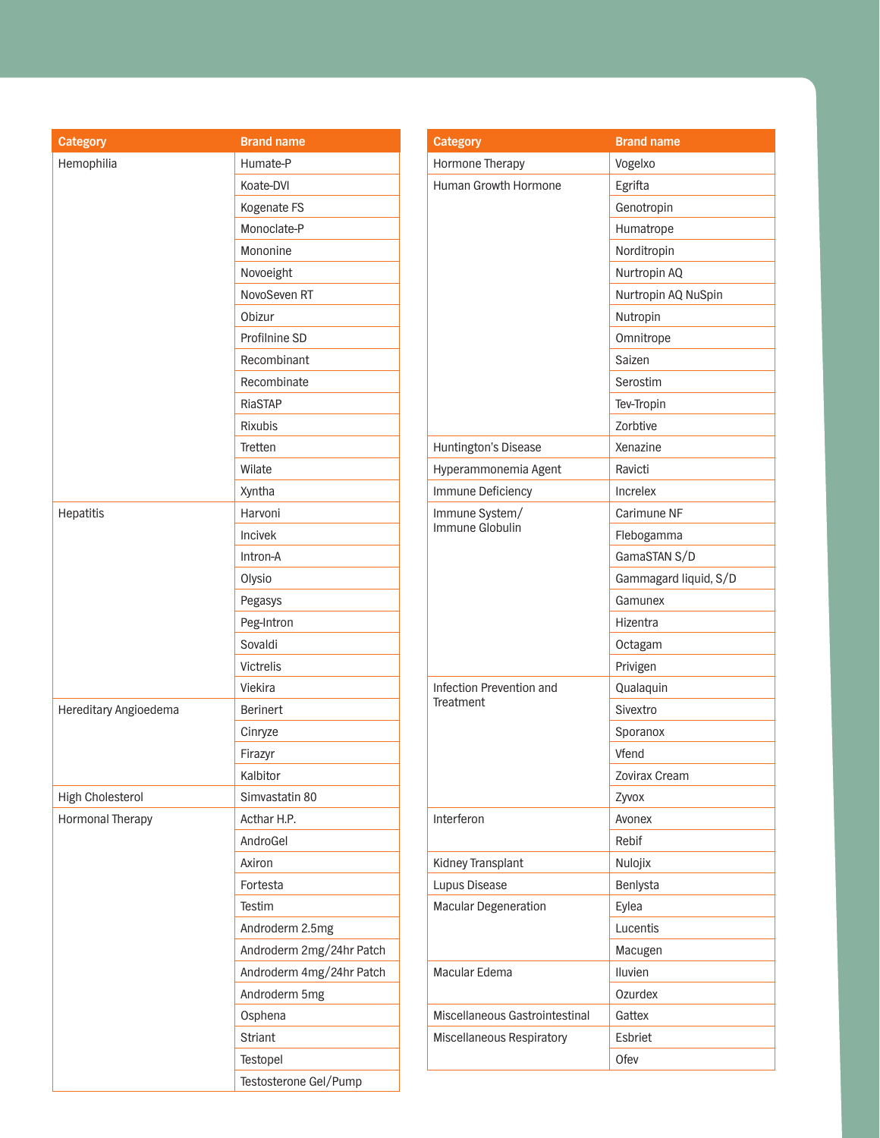| <b>Category</b>       | <b>Brand name</b>        | Ca  |
|-----------------------|--------------------------|-----|
| Hemophilia            | Humate-P                 | Ho  |
|                       | Koate-DVI                | Hu  |
|                       | Kogenate FS              |     |
|                       | Monoclate-P              |     |
|                       | Mononine                 |     |
|                       | Novoeight                |     |
|                       | NovoSeven RT             |     |
|                       | Obizur                   |     |
|                       | Profilnine SD            |     |
|                       | Recombinant              |     |
|                       | Recombinate              |     |
|                       | RiaSTAP                  |     |
|                       | <b>Rixubis</b>           |     |
|                       | Tretten                  | Hu  |
|                       | Wilate                   | Hy  |
|                       | Xyntha                   | Im  |
| Hepatitis             | Harvoni                  | Im  |
|                       | Incivek                  | lm  |
|                       | Intron-A                 |     |
|                       | Olysio                   |     |
|                       | Pegasys                  |     |
|                       | Peg-Intron               |     |
|                       | Sovaldi                  |     |
|                       | Victrelis                |     |
|                       | Viekira                  | Inf |
| Hereditary Angioedema | <b>Berinert</b>          | Tre |
|                       | Cinryze                  |     |
|                       | Firazyr                  |     |
|                       | Kalbitor                 |     |
| High Cholesterol      | Simvastatin 80           |     |
| Hormonal Therapy      | Acthar H.P.              | Int |
|                       | AndroGel                 |     |
|                       | Axiron                   | Kic |
|                       | Fortesta                 | Lu  |
|                       | Testim                   | Ma  |
|                       | Androderm 2.5mg          |     |
|                       | Androderm 2mg/24hr Patch |     |
|                       | Androderm 4mg/24hr Patch | Ma  |
|                       | Androderm 5mg            |     |
|                       | Osphena                  | Mi: |
|                       | <b>Striant</b>           | Mis |
|                       | Testopel                 |     |
|                       | Testosterone Gel/Pump    |     |

| <b>Category</b>                | <b>Brand name</b>     |
|--------------------------------|-----------------------|
| Hormone Therapy                | Vogelxo               |
| <b>Human Growth Hormone</b>    | Egrifta               |
|                                | Genotropin            |
|                                | Humatrope             |
|                                | Norditropin           |
|                                | Nurtropin AQ          |
|                                | Nurtropin AQ NuSpin   |
|                                | Nutropin              |
|                                | Omnitrope             |
|                                | Saizen                |
|                                | Serostim              |
|                                | Tev-Tropin            |
|                                | <b>Zorbtive</b>       |
| Huntington's Disease           | Xenazine              |
| Hyperammonemia Agent           | Ravicti               |
| Immune Deficiency              | Increlex              |
| Immune System/                 | Carimune NF           |
| Immune Globulin                | Flebogamma            |
|                                | GamaSTAN S/D          |
|                                | Gammagard liquid, S/D |
|                                | Gamunex               |
|                                | Hizentra              |
|                                | Octagam               |
|                                | Privigen              |
| Infection Prevention and       | Qualaquin             |
| Treatment                      | Sivextro              |
|                                | Sporanox              |
|                                | Vfend                 |
|                                | Zovirax Cream         |
|                                | Zyvox                 |
| Interferon                     | Avonex                |
|                                | Rebif                 |
| Kidney Transplant              | Nulojix               |
| Lupus Disease                  | Benlysta              |
| <b>Macular Degeneration</b>    | Eylea                 |
|                                | Lucentis              |
|                                | Macugen               |
| Macular Edema                  | Iluvien               |
|                                | Ozurdex               |
| Miscellaneous Gastrointestinal | Gattex                |
| Miscellaneous Respiratory      | Esbriet               |
|                                | Ofev                  |